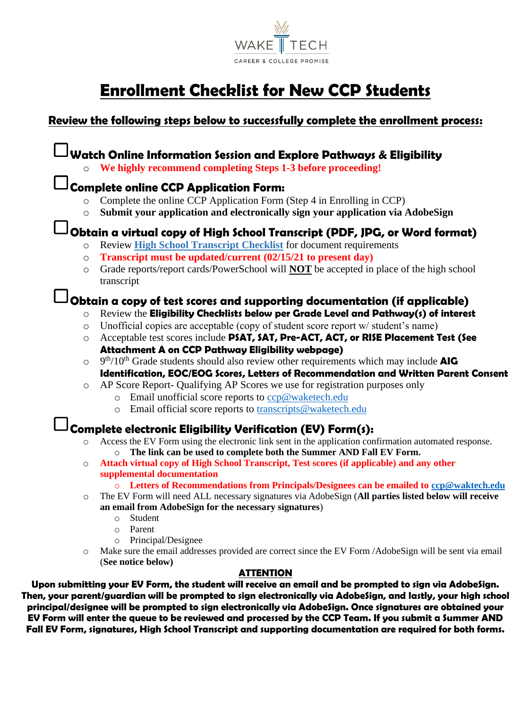

# **Enrollment Checklist for New CCP Students**

## **Review the following steps below to successfully complete the enrollment process:**

### **Watch Online Information Session and Explore Pathways & Eligibility** o **We highly recommend completing Steps 1-3 before proceeding! Complete online CCP Application Form:**  Complete the online CCP Application Form (Step 4 in Enrolling in CCP) o **Submit your application and electronically sign your application via AdobeSign Obtain a virtual copy of High School Transcript (PDF, JPG, or Word format)** o Review **[High School Transcript Checklist](https://www.waketech.edu/sites/default/files/page-file-uploads/High%20School%20Transcript%20Checklist%20Updated.pdf)** for document requirements o **Transcript must be updated/current (02/15/21 to present day)** o Grade reports/report cards/PowerSchool will **NOT** be accepted in place of the high school transcript **Obtain a copy of test scores and supporting documentation (if applicable)** o Review the **Eligibility Checklists below per Grade Level and Pathway(s) of interest**   $\circ$  Unofficial copies are acceptable (copy of student score report w/ student's name) o Acceptable test scores include **PSAT, SAT, Pre-ACT, ACT, or RISE Placement Test (See Attachment A on CCP Pathway Eligibility webpage)** o 9 th/10th Grade students should also review other requirements which may include **AIG Identification, EOC/EOG Scores, Letters of Recommendation and Written Parent Consent** o AP Score Report- Qualifying AP Scores we use for registration purposes only  $\circ$  Email unofficial score reports to [ccp@waketech.edu](mailto:ccp@waketech.edu) o Email official score reports to [transcripts@waketech.edu](mailto:transcripts@waketech.edu) **Complete electronic Eligibility Verification (EV) Form(s):** Access the EV Form using the electronic link sent in the application confirmation automated response. o **The link can be used to complete both the Summer AND Fall EV Form.** o **Attach virtual copy of High School Transcript, Test scores (if applicable) and any other supplemental documentation** o **Letters of Recommendations from Principals/Designees can be emailed to [ccp@waktech.edu](mailto:ccp@waktech.edu)** o The EV Form will need ALL necessary signatures via AdobeSign (**All parties listed below will receive an email from AdobeSign for the necessary signatures**) o Student o Parent o Principal/Designee o Make sure the email addresses provided are correct since the EV Form /AdobeSign will be sent via email (**See notice below) ATTENTION Upon submitting your EV Form, the student will receive an email and be prompted to sign via AdobeSign.**

**Then, your parent/guardian will be prompted to sign electronically via AdobeSign, and lastly, your high school principal/designee will be prompted to sign electronically via AdobeSign. Once signatures are obtained your EV Form will enter the queue to be reviewed and processed by the CCP Team. If you submit a Summer AND Fall EV Form, signatures, High School Transcript and supporting documentation are required for both forms.**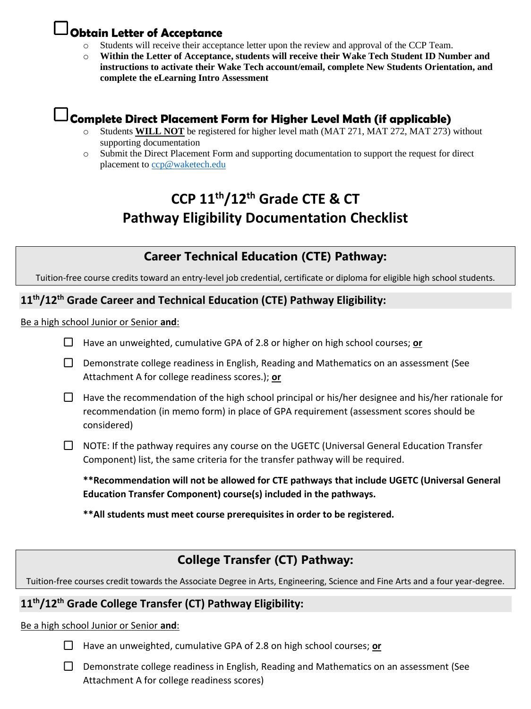## **Obtain Letter of Acceptance**

- Students will receive their acceptance letter upon the review and approval of the CCP Team.
- Within the Letter of Acceptance, students will receive their Wake Tech Student ID Number and **instructions to activate their Wake Tech account/email, complete New Students Orientation, and complete the eLearning Intro Assessment**

## **Complete Direct Placement Form for Higher Level Math (if applicable)**

- Students **WILL NOT** be registered for higher level math (MAT 271, MAT 272, MAT 273) without supporting documentation
- o Submit the Direct Placement Form and supporting documentation to support the request for direct placement to [ccp@waketech.edu](mailto:ccp@waketech.edu)

# **CCP 11th/12th Grade CTE & CT Pathway Eligibility Documentation Checklist**

## **Career Technical Education (CTE) Pathway:**

Tuition-free course credits toward an entry-level job credential, certificate or diploma for eligible high school students.

### **11th/12th Grade Career and Technical Education (CTE) Pathway Eligibility:**

Be a high school Junior or Senior **and**:

- Have an unweighted, cumulative GPA of 2.8 or higher on high school courses; **or**
- $\Box$  Demonstrate college readiness in English, Reading and Mathematics on an assessment (See Attachment A for college readiness scores.); **or**
- $\Box$  Have the recommendation of the high school principal or his/her designee and his/her rationale for recommendation (in memo form) in place of GPA requirement (assessment scores should be considered)
- $\Box$  NOTE: If the pathway requires any course on the UGETC (Universal General Education Transfer Component) list, the same criteria for the transfer pathway will be required.

**\*\*Recommendation will not be allowed for CTE pathways that include UGETC (Universal General Education Transfer Component) course(s) included in the pathways.**

**\*\*All students must meet course prerequisites in order to be registered.**

## **College Transfer (CT) Pathway:**

Tuition-free courses credit towards the Associate Degree in Arts, Engineering, Science and Fine Arts and a four year-degree.

#### **11th/12th Grade College Transfer (CT) Pathway Eligibility:**

Be a high school Junior or Senior **and**:



 $\Box$  Demonstrate college readiness in English, Reading and Mathematics on an assessment (See Attachment A for college readiness scores)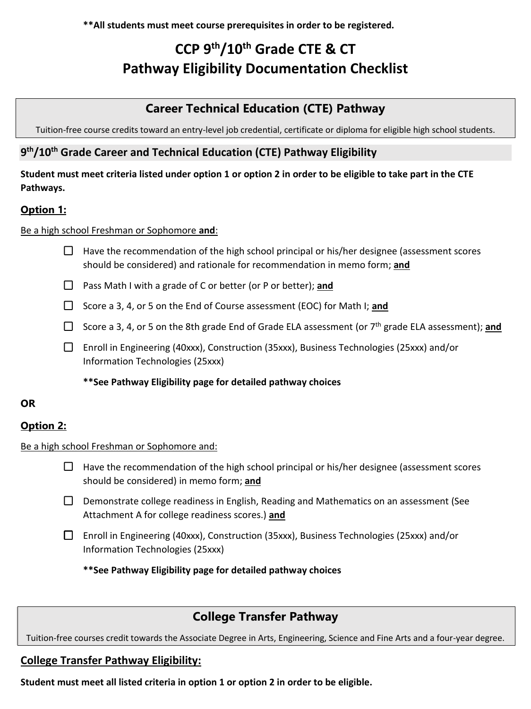**\*\*All students must meet course prerequisites in order to be registered.**

# **CCP 9 th/10th Grade CTE & CT Pathway Eligibility Documentation Checklist**

# **Career Technical Education (CTE) Pathway**

Tuition-free course credits toward an entry-level job credential, certificate or diploma for eligible high school students.

## **9 th/10th Grade Career and Technical Education (CTE) Pathway Eligibility**

### **Student must meet criteria listed under option 1 or option 2 in order to be eligible to take part in the CTE Pathways.**

## **Option 1:**

#### Be a high school Freshman or Sophomore **and**:

- $\Box$  Have the recommendation of the high school principal or his/her designee (assessment scores should be considered) and rationale for recommendation in memo form; **and**
- Pass Math I with a grade of C or better (or P or better); **and**
- □ Score a 3, 4, or 5 on the End of Course assessment (EOC) for Math I; **and**
- □ Score a 3, 4, or 5 on the 8th grade End of Grade ELA assessment (or 7<sup>th</sup> grade ELA assessment); **and**
- $\Box$  Enroll in Engineering (40xxx), Construction (35xxx), Business Technologies (25xxx) and/or Information Technologies (25xxx)

**\*\*See Pathway Eligibility page for detailed pathway choices**

#### **OR**

#### **Option 2:**

#### Be a high school Freshman or Sophomore and:

 $\Box$  Have the recommendation of the high school principal or his/her designee (assessment scores should be considered) in memo form; **and**

- $\Box$  Demonstrate college readiness in English, Reading and Mathematics on an assessment (See Attachment A for college readiness scores.) **and**
- Enroll in Engineering (40xxx), Construction (35xxx), Business Technologies (25xxx) and/or Information Technologies (25xxx)

**\*\*See Pathway Eligibility page for detailed pathway choices**

## **College Transfer Pathway**

Tuition-free courses credit towards the Associate Degree in Arts, Engineering, Science and Fine Arts and a four-year degree.

#### **College Transfer Pathway Eligibility:**

**Student must meet all listed criteria in option 1 or option 2 in order to be eligible.**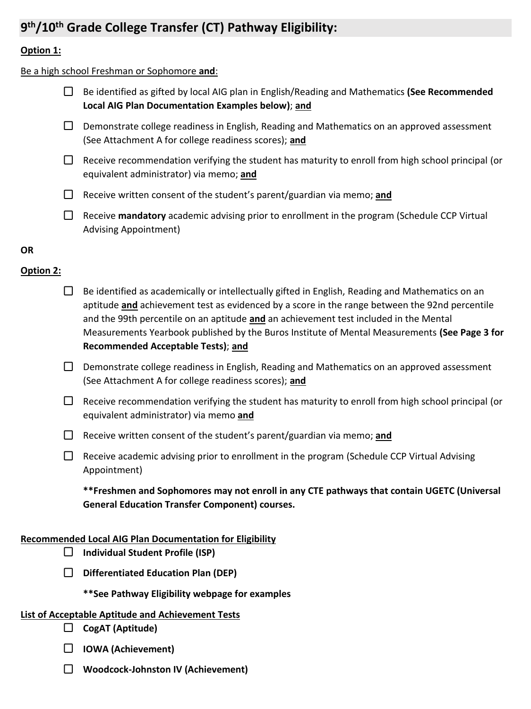# **9 th/10th Grade College Transfer (CT) Pathway Eligibility:**

#### **Option 1:**

#### Be a high school Freshman or Sophomore **and**:

- Be identified as gifted by local AIG plan in English/Reading and Mathematics **(See Recommended Local AIG Plan Documentation Examples below)**; **and**
- $\Box$  Demonstrate college readiness in English, Reading and Mathematics on an approved assessment (See Attachment A for college readiness scores); **and**
- $\Box$  Receive recommendation verifying the student has maturity to enroll from high school principal (or equivalent administrator) via memo; **and**
- Receive written consent of the student's parent/guardian via memo; **and**
- Receive **mandatory** academic advising prior to enrollment in the program (Schedule CCP Virtual Advising Appointment)

#### **OR**

#### **Option 2:**

- $\Box$  Be identified as academically or intellectually gifted in English, Reading and Mathematics on an aptitude **and** achievement test as evidenced by a score in the range between the 92nd percentile and the 99th percentile on an aptitude **and** an achievement test included in the Mental Measurements Yearbook published by the Buros Institute of Mental Measurements **(See Page 3 for Recommended Acceptable Tests)**; **and**
- $\Box$  Demonstrate college readiness in English, Reading and Mathematics on an approved assessment (See Attachment A for college readiness scores); **and**
- $\Box$  Receive recommendation verifying the student has maturity to enroll from high school principal (or equivalent administrator) via memo **and**
- Receive written consent of the student's parent/guardian via memo; **and**
- $\Box$  Receive academic advising prior to enrollment in the program (Schedule CCP Virtual Advising Appointment)

**\*\*Freshmen and Sophomores may not enroll in any CTE pathways that contain UGETC (Universal General Education Transfer Component) courses.**

#### **Recommended Local AIG Plan Documentation for Eligibility**

- **Individual Student Profile (ISP)**
- **Differentiated Education Plan (DEP)**
	- **\*\*See Pathway Eligibility webpage for examples**

#### **List of Acceptable Aptitude and Achievement Tests**

- **CogAT (Aptitude)**
- **IOWA (Achievement)**
- **Woodcock-Johnston IV (Achievement)**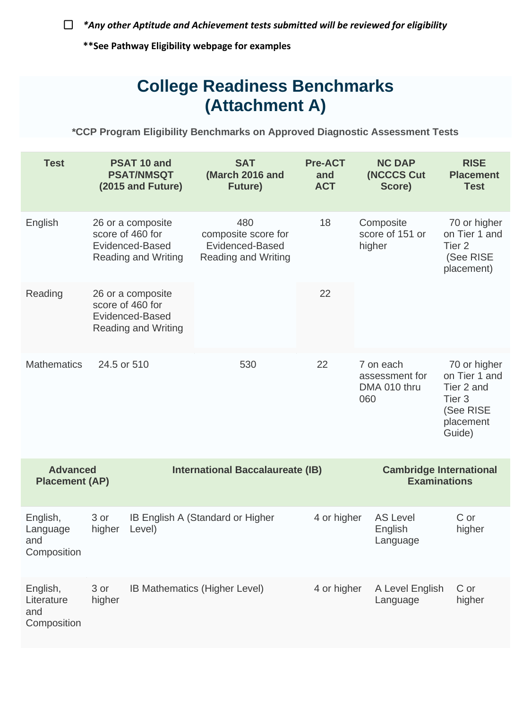*\*Any other Aptitude and Achievement tests submitted will be reviewed for eligibility*

**\*\*See Pathway Eligibility webpage for examples**

# **College Readiness Benchmarks (Attachment A)**

**\*CCP Program Eligibility Benchmarks on Approved Diagnostic Assessment Tests**

| <b>Test</b>                                  |                                                                                        | PSAT 10 and<br><b>PSAT/NMSQT</b><br>(2015 and Future)                                  | <b>SAT</b><br>(March 2016 and<br><b>Future</b> )                                  | <b>Pre-ACT</b><br>and<br><b>ACT</b>                   | <b>NC DAP</b><br>(NCCCS Cut<br>Score)              | <b>RISE</b><br><b>Placement</b><br><b>Test</b>                                                       |
|----------------------------------------------|----------------------------------------------------------------------------------------|----------------------------------------------------------------------------------------|-----------------------------------------------------------------------------------|-------------------------------------------------------|----------------------------------------------------|------------------------------------------------------------------------------------------------------|
| English                                      |                                                                                        | 26 or a composite<br>score of 460 for<br>Evidenced-Based<br><b>Reading and Writing</b> | 480<br>18<br>composite score for<br>Evidenced-Based<br><b>Reading and Writing</b> |                                                       | Composite<br>score of 151 or<br>higher             | 70 or higher<br>on Tier 1 and<br>Tier <sub>2</sub><br>(See RISE<br>placement)                        |
| Reading                                      | 26 or a composite<br>score of 460 for<br>Evidenced-Based<br><b>Reading and Writing</b> |                                                                                        |                                                                                   | 22                                                    |                                                    |                                                                                                      |
| <b>Mathematics</b>                           | 24.5 or 510                                                                            |                                                                                        | 530                                                                               | 22                                                    | 7 on each<br>assessment for<br>DMA 010 thru<br>060 | 70 or higher<br>on Tier 1 and<br>Tier 2 and<br>Tier <sub>3</sub><br>(See RISE<br>placement<br>Guide) |
| <b>Advanced</b><br><b>Placement (AP)</b>     |                                                                                        | <b>International Baccalaureate (IB)</b>                                                |                                                                                   | <b>Cambridge International</b><br><b>Examinations</b> |                                                    |                                                                                                      |
| English,<br>Language<br>and<br>Composition   | 3 or<br>IB English A (Standard or Higher<br>higher<br>Level)                           |                                                                                        |                                                                                   | 4 or higher                                           | <b>AS Level</b><br>English<br>Language             | C or<br>higher                                                                                       |
| English,<br>Literature<br>and<br>Composition | 3 or<br>IB Mathematics (Higher Level)<br>higher                                        |                                                                                        |                                                                                   | 4 or higher                                           | A Level English<br>Language                        | C or<br>higher                                                                                       |